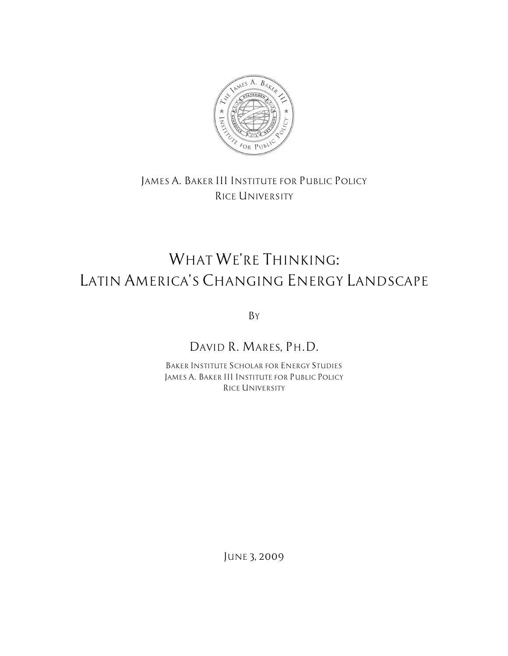

### *JAMES A. BAKER III INSTITUTE FOR PUBLIC POLICY RICE UNIVERSITY*

# *WHAT WE'RE THINKING: LATIN AMERICA'S CHANGING ENERGY LANDSCAPE*

*BY*

## *DAVID R. MARES, PH.D.*

*BAKER INSTITUTE SCHOLAR FOR ENERGY STUDIES JAMES A. BAKER III INSTITUTE FOR PUBLIC POLICY RICE UNIVERSITY*

*JUNE 3, 2009*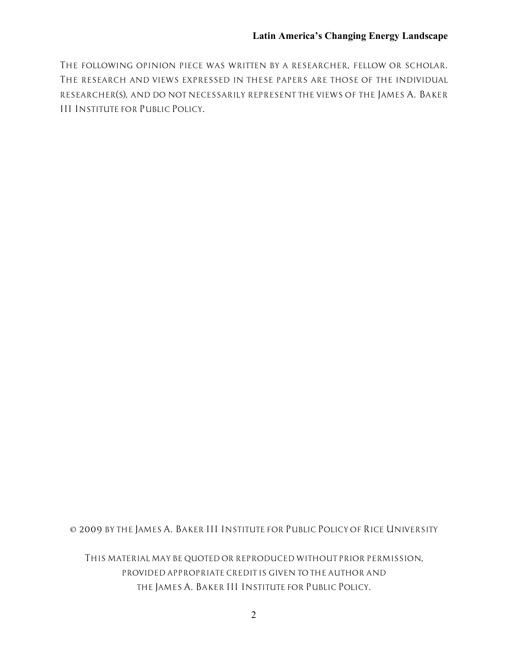*THE FOLLOWING OPINION PIECE WAS WRITTEN BY A RESEARCHER, FELLOW OR SCHOLAR. THE RESEARCH AND VIEWS EXPRESSED IN THESE PAPERS ARE THOSE OF THE INDIVIDUAL RESEARCHER(S), AND DO NOT NECESSARILY REPRESENT THE VIEWS OF THE JAMES A. BAKER III INSTITUTE FOR PUBLIC POLICY.*

*© 2009 BY THE JAMES A. BAKER III INSTITUTE FOR PUBLIC POLICY OF RICE UNIVERSITY*

*THIS MATERIAL MAY BE QUOTED OR REPRODUCED WITHOUT PRIOR PERMISSION, PROVIDED APPROPRIATE CREDIT IS GIVEN TO THE AUTHOR AND THE JAMES A. BAKER III INSTITUTE FOR PUBLIC POLICY.*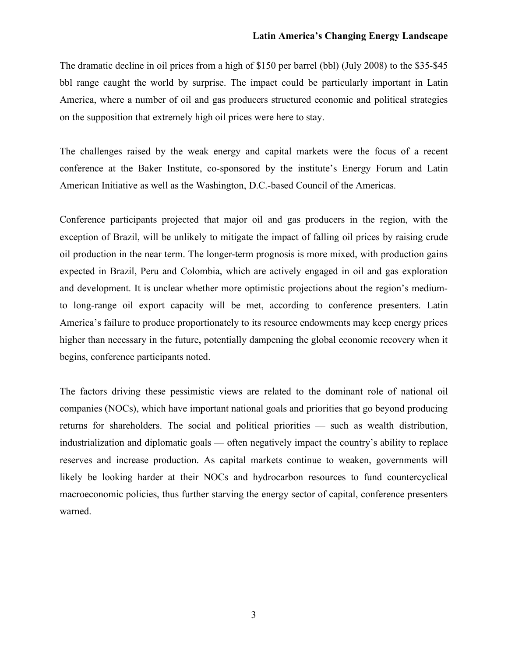The dramatic decline in oil prices from a high of \$150 per barrel (bbl) (July 2008) to the \$35-\$45 bbl range caught the world by surprise. The impact could be particularly important in Latin America, where a number of oil and gas producers structured economic and political strategies on the supposition that extremely high oil prices were here to stay.

The challenges raised by the weak energy and capital markets were the focus of a recent conference at the Baker Institute, co-sponsored by the institute's Energy Forum and Latin American Initiative as well as the Washington, D.C.-based Council of the Americas.

Conference participants projected that major oil and gas producers in the region, with the exception of Brazil, will be unlikely to mitigate the impact of falling oil prices by raising crude oil production in the near term. The longer-term prognosis is more mixed, with production gains expected in Brazil, Peru and Colombia, which are actively engaged in oil and gas exploration and development. It is unclear whether more optimistic projections about the region's mediumto long-range oil export capacity will be met, according to conference presenters. Latin America's failure to produce proportionately to its resource endowments may keep energy prices higher than necessary in the future, potentially dampening the global economic recovery when it begins, conference participants noted.

The factors driving these pessimistic views are related to the dominant role of national oil companies (NOCs), which have important national goals and priorities that go beyond producing returns for shareholders. The social and political priorities — such as wealth distribution, industrialization and diplomatic goals — often negatively impact the country's ability to replace reserves and increase production. As capital markets continue to weaken, governments will likely be looking harder at their NOCs and hydrocarbon resources to fund countercyclical macroeconomic policies, thus further starving the energy sector of capital, conference presenters warned.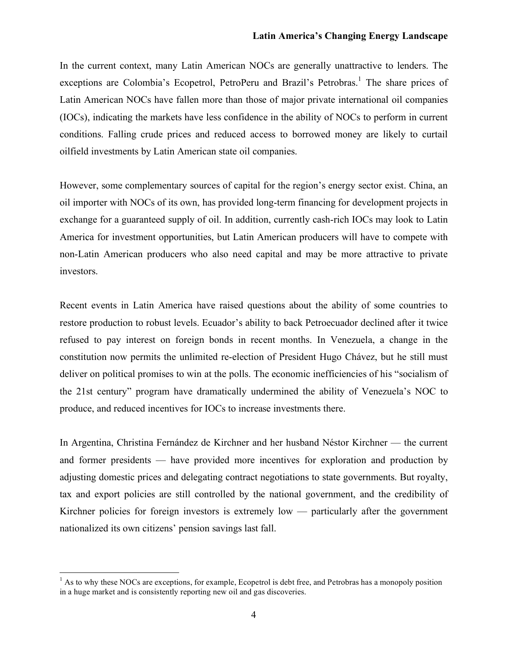#### **Latin America's Changing Energy Landscape**

In the current context, many Latin American NOCs are generally unattractive to lenders. The exceptions are Colombia's Ecopetrol, PetroPeru and Brazil's Petrobras.<sup>1</sup> The share prices of Latin American NOCs have fallen more than those of major private international oil companies (IOCs), indicating the markets have less confidence in the ability of NOCs to perform in current conditions. Falling crude prices and reduced access to borrowed money are likely to curtail oilfield investments by Latin American state oil companies.

However, some complementary sources of capital for the region's energy sector exist. China, an oil importer with NOCs of its own, has provided long-term financing for development projects in exchange for a guaranteed supply of oil. In addition, currently cash-rich IOCs may look to Latin America for investment opportunities, but Latin American producers will have to compete with non-Latin American producers who also need capital and may be more attractive to private investors.

Recent events in Latin America have raised questions about the ability of some countries to restore production to robust levels. Ecuador's ability to back Petroecuador declined after it twice refused to pay interest on foreign bonds in recent months. In Venezuela, a change in the constitution now permits the unlimited re-election of President Hugo Chávez, but he still must deliver on political promises to win at the polls. The economic inefficiencies of his "socialism of the 21st century" program have dramatically undermined the ability of Venezuela's NOC to produce, and reduced incentives for IOCs to increase investments there.

In Argentina, Christina Fernández de Kirchner and her husband Néstor Kirchner — the current and former presidents — have provided more incentives for exploration and production by adjusting domestic prices and delegating contract negotiations to state governments. But royalty, tax and export policies are still controlled by the national government, and the credibility of Kirchner policies for foreign investors is extremely  $low$  — particularly after the government nationalized its own citizens' pension savings last fall.

 $<sup>1</sup>$  As to why these NOCs are exceptions, for example, Ecopetrol is debt free, and Petrobras has a monopoly position</sup> in a huge market and is consistently reporting new oil and gas discoveries.